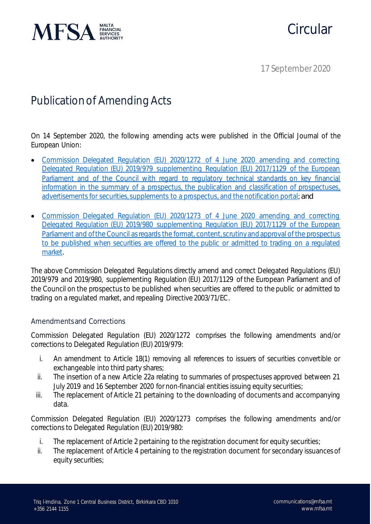

# Circular

17 September 2020

## Publication of Amending Acts

On 14 September 2020, the following amending acts were published in the Official Journal of the European Union:

- [Commission Delegated Regulation \(EU\) 2020/1272 of 4 June 2020 amending and correcting](https://eur-lex.europa.eu/legal-content/EN/TXT/?qid=1600265750290&uri=CELEX:32020R1272)  [Delegated Regulation \(EU\) 2019/979 supplementing Regulation \(EU\) 2017/1129 of the European](https://eur-lex.europa.eu/legal-content/EN/TXT/?qid=1600265750290&uri=CELEX:32020R1272)  [Parliament and of the Council with regard to regulatory technical standards on key financial](https://eur-lex.europa.eu/legal-content/EN/TXT/?qid=1600265750290&uri=CELEX:32020R1272)  [information in the summary of a prospectus, the publication and classification of prospectuses,](https://eur-lex.europa.eu/legal-content/EN/TXT/?qid=1600265750290&uri=CELEX:32020R1272)  [advertisements for securities, supplements to](https://eur-lex.europa.eu/legal-content/EN/TXT/?qid=1600265750290&uri=CELEX:32020R1272) a prospectus, and the notification portal; *and*
- [Commission Delegated Regulation \(EU\) 2020/1273 of 4 June 2020 amending and correcting](https://eur-lex.europa.eu/legal-content/EN/TXT/?qid=1600265851979&uri=CELEX:32020R1273)  [Delegated Regulation \(EU\) 2019/980 supplementing Regulation \(EU\) 2017/1129 of the European](https://eur-lex.europa.eu/legal-content/EN/TXT/?qid=1600265851979&uri=CELEX:32020R1273)  Parliament and of the Council as regards the format, content, scrutiny and approval of the prospectus [to be published when securities are offered to the public or admitted to trading on a regulated](https://eur-lex.europa.eu/legal-content/EN/TXT/?qid=1600265851979&uri=CELEX:32020R1273)  [market.](https://eur-lex.europa.eu/legal-content/EN/TXT/?qid=1600265851979&uri=CELEX:32020R1273)

The above Commission Delegated Regulations directly amend and correct Delegated Regulations (EU) 2019/979 and 2019/980, supplementing Regulation (EU) 2017/1129 of the European Parliament and of the Council on the prospectus to be published when securities are offered to the public or admitted to trading on a regulated market, and repealing Directive 2003/71/EC.

### Amendments and Corrections

Commission Delegated Regulation (EU) 2020/1272 comprises the following amendments and/or corrections to Delegated Regulation (EU) 2019/979:

- i. An amendment to Article 18(1) removing all references to issuers of securities convertible or exchangeable into third party shares;
- ii. The insertion of a new Article 22a relating to summaries of prospectuses approved between 21 July 2019 and 16 September 2020 for non-financial entities issuing equity securities;
- iii. The replacement of Article 21 pertaining to the downloading of documents and accompanying data.

Commission Delegated Regulation (EU) 2020/1273 comprises the following amendments and/or corrections to Delegated Regulation (EU) 2019/980:

- i. The replacement of Article 2 pertaining to the registration document for equity securities;
- ii. The replacement of Article 4 pertaining to the registration document for secondary issuances of equity securities;